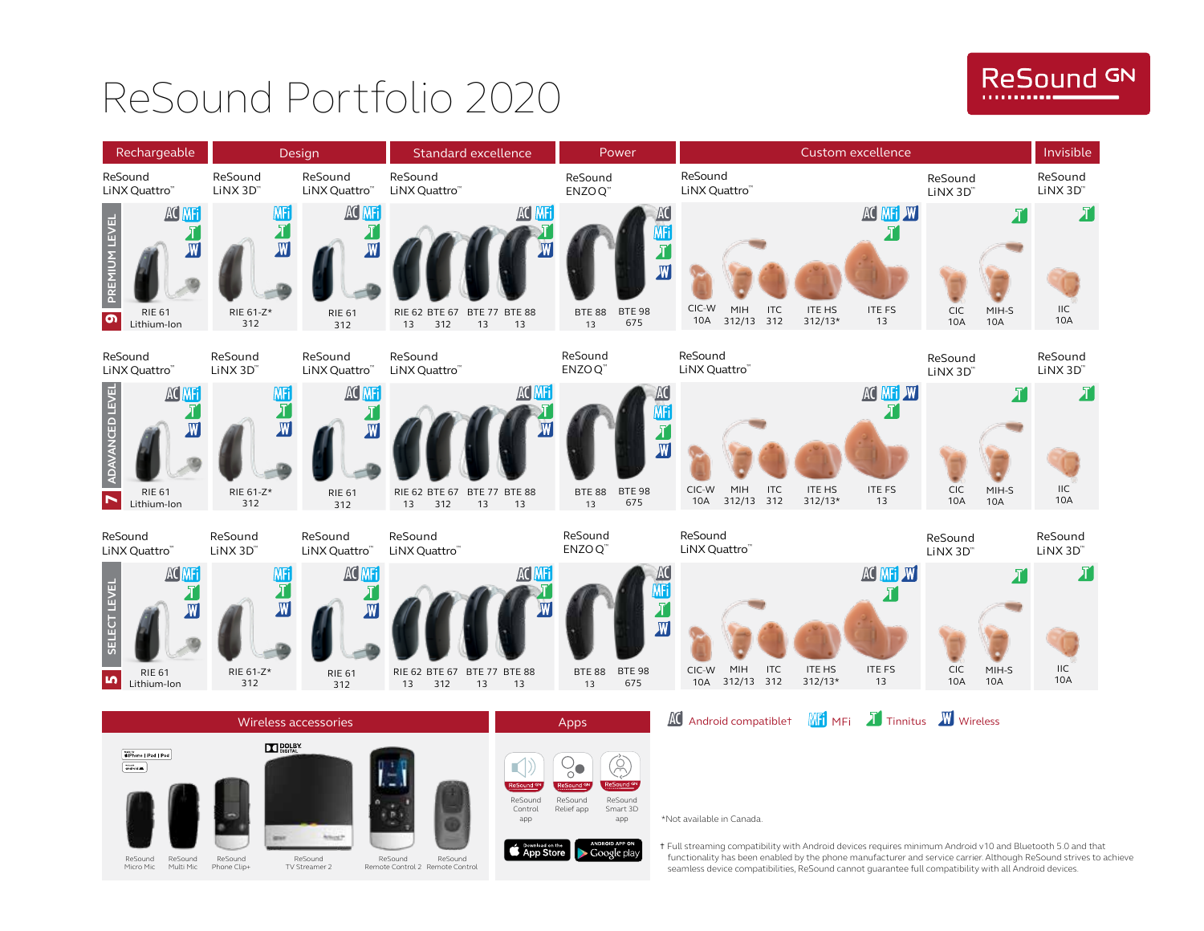# ReSound Portfolio 2020